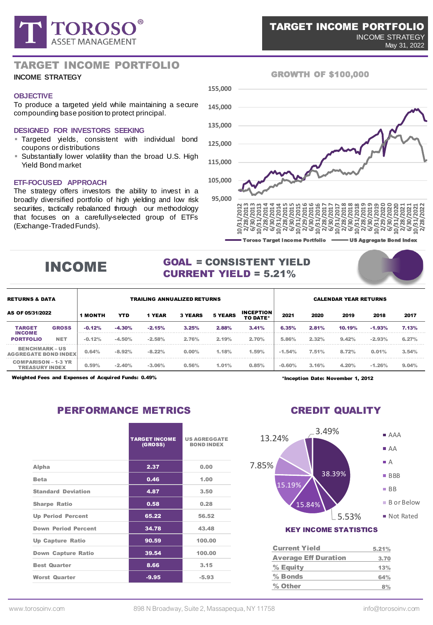

### TARGET INCOME PORTFOLIO

### **INCOME STRATEGY**

#### **OBJECTIVE**

To produce a targeted yield while maintaining a secure compounding base position to protect principal.

#### **DESIGNED FOR INVESTORS SEEKING**

- **Targeted yields, consistent with individual bond** coupons or distributions
- **E** Substantially lower volatility than the broad U.S. High Yield Bond market

### **ETF-FOCUSED APPROACH**

The strategy offers investors the ability to invest in a broadly diversified portfolio of high yielding and low risk securities, tactically rebalanced through our methodology that focuses on a carefully-selected group of ETFs (Exchange-TradedFunds).



GROWTH OF \$100,000

# INCOME

# GOAL = CONSISTENT YIELD CURRENT YIELD = 5.21%

| <b>RETURNS &amp; DATA</b><br>AS OF 05/31/2022       |              | <b>TRAILING ANNUALIZED RETURNS</b> |            |               |                |                |                              | <b>CALENDAR YEAR RETURNS</b> |       |        |                |       |
|-----------------------------------------------------|--------------|------------------------------------|------------|---------------|----------------|----------------|------------------------------|------------------------------|-------|--------|----------------|-------|
|                                                     |              | <b>1 MONTH</b>                     | <b>YTD</b> | <b>1 YEAR</b> | <b>3 YEARS</b> | <b>5 YEARS</b> | <b>INCEPTION</b><br>TO DATE* | 2021                         | 2020  | 2019   | 2018           | 2017  |
| <b>TARGET</b><br><b>INCOME</b><br><b>PORTFOLIO</b>  | <b>GROSS</b> | $-0.12%$                           | $-4.30%$   | $-2.15%$      | 3.25%          | 2.88%          | 3.41%                        | 6.35%                        | 2.81% | 10.19% | $-1.93%$       | 7.13% |
|                                                     | <b>NET</b>   | $-0.12%$                           | $-4.50%$   | $-2.58%$      | 2.76%          | 2.19%          | 2.70%                        | 5.86%                        | 2.32% | 9.42%  | $-2.93%$       | 6.27% |
| <b>BENCHMARK-US</b><br><b>AGGREGATE BOND INDEX</b>  |              | 0.64%                              | $-8.92%$   | $-8.22%$      | 0.00%          | 1.18%          | 1.59%                        | $-1.54%$                     | 7.51% | 8.72%  | 3.54%<br>0.01% |       |
| <b>COMPARISON - 1-3 YR</b><br><b>TREASURY INDEX</b> |              | 0.59%                              | $-2.40%$   | $-3.06%$      | 0.56%          | 1.01%          | 0.85%                        | $-0.60%$                     | 3.16% | 4.20%  | $-1.26%$       | 9.04% |

Weighted Fees and Expenses of Acquired Funds: 0.49%

# PERFORMANCE METRICS

|                            | <b>TARGET INCOME</b><br>(GROSS) | <b>US AGREGGATE</b><br><b>BOND INDEX</b> |
|----------------------------|---------------------------------|------------------------------------------|
| Alpha                      | 2.37                            | 0.00                                     |
| <b>Beta</b>                | 0.46                            | 1.00                                     |
| <b>Standard Deviation</b>  | 4.87                            | 3.50                                     |
| <b>Sharpe Ratio</b>        | 0.58                            | 0.28                                     |
| <b>Up Period Percent</b>   | 65.22                           | 56.52                                    |
| <b>Down Period Percent</b> | 34.78                           | 43.48                                    |
| <b>Up Capture Ratio</b>    | 90.59                           | 100.00                                   |
| <b>Down Capture Ratio</b>  | 39.54                           | 100.00                                   |
| <b>Best Quarter</b>        | 8.66                            | 3.15                                     |
| <b>Worst Quarter</b>       | $-9.95$                         | $-5.93$                                  |

\*Inception Date: November 1, 2012

# CREDIT QUALITY



### Current Yield 5.21% Average Eff Duration 3.70 % Equity 13%  $%$  Bonds 64% % Other  $8\%$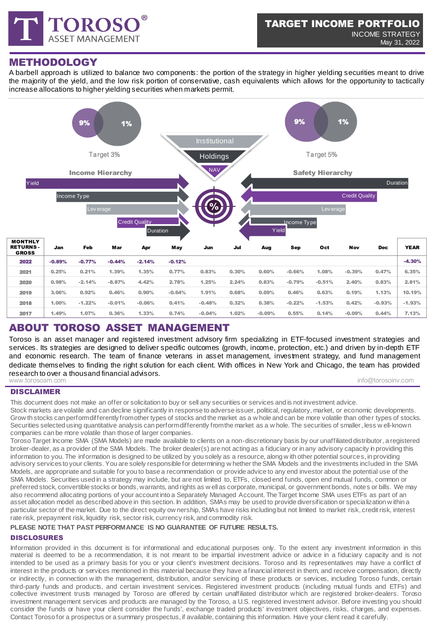

## METHODOLOGY

A barbell approach is utilized to balance two components: the portion of the strategy in higher yielding securities meant to drive the majority of the yield, and the low risk portion of conservative, cash equivalents which allows for the opportunity to tactically increase allocations to higher yielding securities when markets permit.



# ABOUT TOROSO ASSET MANAGEMENT

Toroso is an asset manager and registered investment advisory firm specializing in ETF-focused investment strategies and services. Its strategies are designed to deliver specific outcomes (growth, income, protection, etc.) and driven by in-depth ETF and economic research. The team of finance veterans in asset management, investment strategy, and fund management dedicate themselves to finding the right solution for each client. With offices in New York and Chicago, the team has provided research to over a thousand financial advisors. www.torosoam.com info@torosoinv.com

### DISCLAIMER

This document does not make an offer or solicitation to buy or sell any securities or services and is not investment advice. Stock markets are volatile and can decline significantly in response to adverse issuer, political, regulatory, market, or economic developments. Grow th stocks can perform differently from other types of stocks and the market as a w hole and can be more volatile than other types of stocks. Securities selected using quantitative analysis can perform differently from the market as a w hole. The securities of smaller, less well-known companies can be more volatile than those of larger companies.

Toroso Target Income SMA (SMA Models) are made available to clients on a non-discretionary basis by our unaffiliated distributor, a registered broker-dealer, as a provider of the SMA Models. The broker dealer(s) are not acting as a fiduciary or in any advisory capacity in providing this information to you. The information is designed to be utilized by you solely as a resource, along w ith other potential sources, in providing advisory services to your clients. You are solely responsible for determining w hether the SMA Models and the investments included in the SMA Models, are appropriate and suitable for you to base a recommendation or provide advice to any end investor about the potential use of the SMA Models. Securities used in a strategy may include, but are not limited to, ETFs, closed end funds, open end mutual funds, common or preferred stock, convertible stocks or bonds, warrants, and rights as w ell as corporate, municipal, or government bonds, notes or bills. We may also recommend allocating portions of your account into a Separately Managed Account. The Target Income SMA uses ETFs as part of an asset allocation model as described above in this section. In addition, SMAs may be used to provide diversification or specialization w ithin a particular sector of the market. Due to the direct equity ow nership, SMAs have risks including but not limited to market risk, credit risk, interest rate risk, prepayment risk, liquidity risk, sector risk, currency risk, and commodity risk.

### **PLEASE NOTE THAT PAST PERFORMANCE IS NO GUARANTEE OF FUTURE RESULTS.**

### DISCLOSURES

Information provided in this document is for informational and educational purposes only. To the extent any investment information in this material is deemed to be a recommendation, it is not meant to be impartial investment advice or advice in a fiduciary capacity and is not intended to be used as a primary basis for you or your client's investment decisions. Toroso and its representatives may have a conflict of interest in the products or services mentioned in this material because they have a financial interest in them, and receive compensation, directly or indirectly, in connection w ith the management, distribution, and/or servicing of these products or services, including Toroso funds, certain third-party funds and products, and certain investment services. Registered investment products (including mutual funds and ETFs) and collective investment trusts managed by Toroso are offered by certain unaffiliated distributor which are registered broker-dealers. Toroso investment management services and products are managed by the Toroso, a U.S. registered investment advisor. Before investing you should consider the funds or have your client consider the funds', exchange traded products' investment objectives, risks, charges, and expenses. Contact Toroso for a prospectus or a summary prospectus, if available, containing this information. Have your client read it carefully.